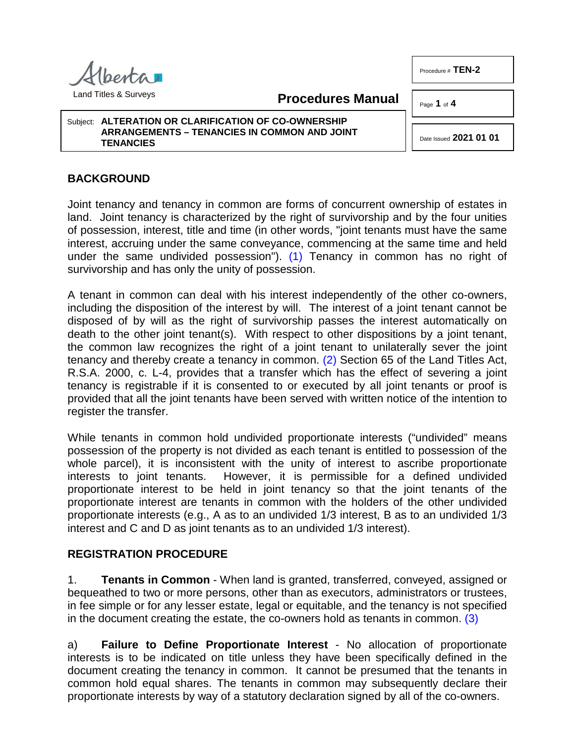Procedure # **TEN-2**



Land Titles & Surveys

<span id="page-0-0"></span>**Procedures Manual**

Page **1** of **4**

Subject: **ALTERATION OR CLARIFICATION OF CO-OWNERSHIP ARRANGEMENTS – TENANCIES IN COMMON AND JOINT TENANCIES**

<span id="page-0-1"></span>Date Issued **2021 01 01**

## **BACKGROUND**

Joint tenancy and tenancy in common are forms of concurrent ownership of estates in land. Joint tenancy is characterized by the right of survivorship and by the four unities of possession, interest, title and time (in other words, "joint tenants must have the same interest, accruing under the same conveyance, commencing at the same time and held under the same undivided possession"). [\(1\)](#page-3-0) Tenancy in common has no right of survivorship and has only the unity of possession.

A tenant in common can deal with his interest independently of the other co-owners, including the disposition of the interest by will. The interest of a joint tenant cannot be disposed of by will as the right of survivorship passes the interest automatically on death to the other joint tenant(s). With respect to other dispositions by a joint tenant, the common law recognizes the right of a joint tenant to unilaterally sever the joint tenancy and thereby create a tenancy in common. [\(2\)](#page-3-1) Section 65 of the Land Titles Act, R.S.A. 2000, c. L-4, provides that a transfer which has the effect of severing a joint tenancy is registrable if it is consented to or executed by all joint tenants or proof is provided that all the joint tenants have been served with written notice of the intention to register the transfer.

While tenants in common hold undivided proportionate interests ("undivided" means possession of the property is not divided as each tenant is entitled to possession of the whole parcel), it is inconsistent with the unity of interest to ascribe proportionate interests to joint tenants. However, it is permissible for a defined undivided proportionate interest to be held in joint tenancy so that the joint tenants of the proportionate interest are tenants in common with the holders of the other undivided proportionate interests (e.g., A as to an undivided 1/3 interest, B as to an undivided 1/3 interest and C and D as joint tenants as to an undivided 1/3 interest).

## **REGISTRATION PROCEDURE**

1. **Tenants in Common** - When land is granted, transferred, conveyed, assigned or bequeathed to two or more persons, other than as executors, administrators or trustees, in fee simple or for any lesser estate, legal or equitable, and the tenancy is not specified in the document creating the estate, the co-owners hold as tenants in common. [\(3\)](#page-3-2)

<span id="page-0-2"></span>a) **Failure to Define Proportionate Interest** - No allocation of proportionate interests is to be indicated on title unless they have been specifically defined in the document creating the tenancy in common. It cannot be presumed that the tenants in common hold equal shares. The tenants in common may subsequently declare their proportionate interests by way of a statutory declaration signed by all of the co-owners.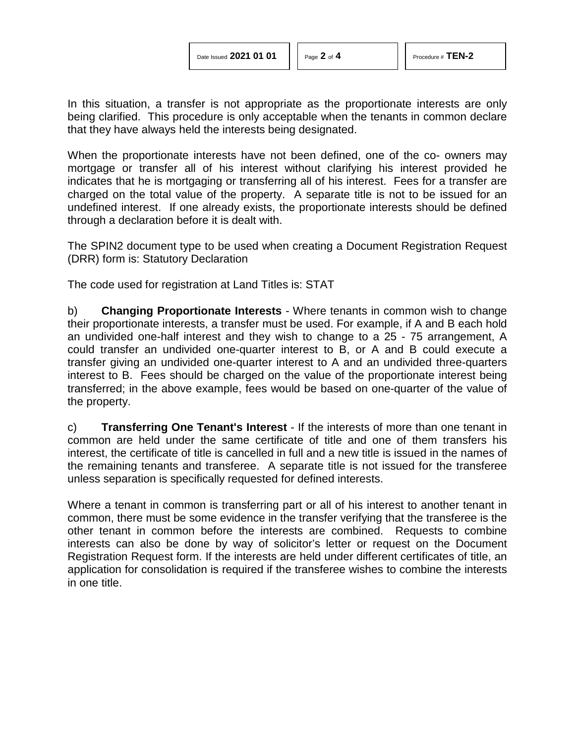In this situation, a transfer is not appropriate as the proportionate interests are only being clarified. This procedure is only acceptable when the tenants in common declare that they have always held the interests being designated.

When the proportionate interests have not been defined, one of the co- owners may mortgage or transfer all of his interest without clarifying his interest provided he indicates that he is mortgaging or transferring all of his interest. Fees for a transfer are charged on the total value of the property. A separate title is not to be issued for an undefined interest. If one already exists, the proportionate interests should be defined through a declaration before it is dealt with.

The SPIN2 document type to be used when creating a Document Registration Request (DRR) form is: Statutory Declaration

The code used for registration at Land Titles is: STAT

b) **Changing Proportionate Interests** - Where tenants in common wish to change their proportionate interests, a transfer must be used. For example, if A and B each hold an undivided one-half interest and they wish to change to a 25 - 75 arrangement, A could transfer an undivided one-quarter interest to B, or A and B could execute a transfer giving an undivided one-quarter interest to A and an undivided three-quarters interest to B. Fees should be charged on the value of the proportionate interest being transferred; in the above example, fees would be based on one-quarter of the value of the property.

c) **Transferring One Tenant's Interest** - If the interests of more than one tenant in common are held under the same certificate of title and one of them transfers his interest, the certificate of title is cancelled in full and a new title is issued in the names of the remaining tenants and transferee. A separate title is not issued for the transferee unless separation is specifically requested for defined interests.

Where a tenant in common is transferring part or all of his interest to another tenant in common, there must be some evidence in the transfer verifying that the transferee is the other tenant in common before the interests are combined. Requests to combine interests can also be done by way of solicitor's letter or request on the Document Registration Request form. If the interests are held under different certificates of title, an application for consolidation is required if the transferee wishes to combine the interests in one title.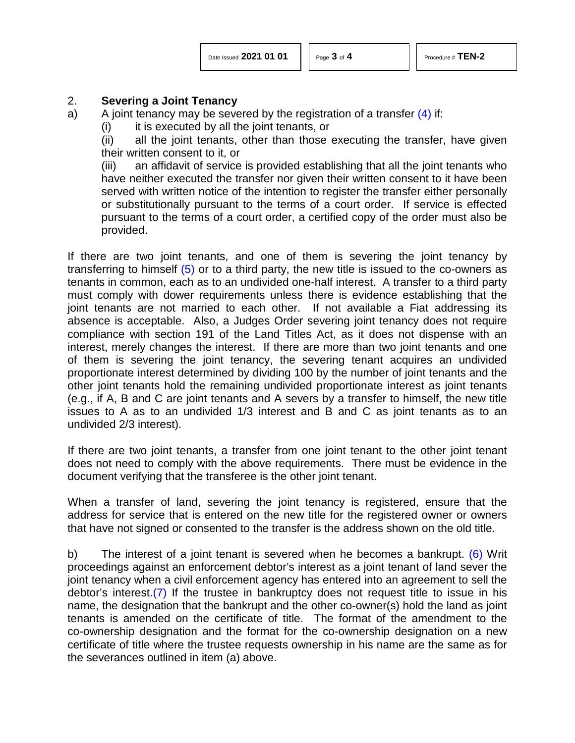<span id="page-2-0"></span>

## 2. **Severing a Joint Tenancy**

a) A joint tenancy may be severed by the registration of a transfer  $(4)$  if:

 $(i)$  it is executed by all the joint tenants, or

(ii) all the joint tenants, other than those executing the transfer, have given their written consent to it, or

(iii) an affidavit of service is provided establishing that all the joint tenants who have neither executed the transfer nor given their written consent to it have been served with written notice of the intention to register the transfer either personally or substitutionally pursuant to the terms of a court order. If service is effected pursuant to the terms of a court order, a certified copy of the order must also be provided.

<span id="page-2-1"></span>If there are two joint tenants, and one of them is severing the joint tenancy by transferring to himself  $(5)$  or to a third party, the new title is issued to the co-owners as tenants in common, each as to an undivided one-half interest. A transfer to a third party must comply with dower requirements unless there is evidence establishing that the joint tenants are not married to each other. If not available a Fiat addressing its absence is acceptable. Also, a Judges Order severing joint tenancy does not require compliance with section 191 of the Land Titles Act, as it does not dispense with an interest, merely changes the interest. If there are more than two joint tenants and one of them is severing the joint tenancy, the severing tenant acquires an undivided proportionate interest determined by dividing 100 by the number of joint tenants and the other joint tenants hold the remaining undivided proportionate interest as joint tenants (e.g., if A, B and C are joint tenants and A severs by a transfer to himself, the new title issues to A as to an undivided 1/3 interest and B and C as joint tenants as to an undivided 2/3 interest).

If there are two joint tenants, a transfer from one joint tenant to the other joint tenant does not need to comply with the above requirements. There must be evidence in the document verifying that the transferee is the other joint tenant.

When a transfer of land, severing the joint tenancy is registered, ensure that the address for service that is entered on the new title for the registered owner or owners that have not signed or consented to the transfer is the address shown on the old title.

<span id="page-2-3"></span><span id="page-2-2"></span>b) The interest of a joint tenant is severed when he becomes a bankrupt. [\(6\)](#page-3-5) Writ proceedings against an enforcement debtor's interest as a joint tenant of land sever the joint tenancy when a civil enforcement agency has entered into an agreement to sell the debtor's interest[.\(7\)](#page-3-6) If the trustee in bankruptcy does not request title to issue in his name, the designation that the bankrupt and the other co-owner(s) hold the land as joint tenants is amended on the certificate of title. The format of the amendment to the co-ownership designation and the format for the co-ownership designation on a new certificate of title where the trustee requests ownership in his name are the same as for the severances outlined in item (a) above.